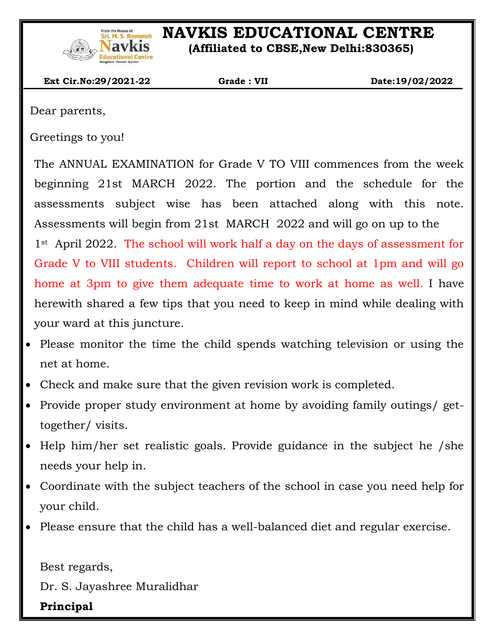

# **I.S. Ramaiah** NAVKIS EDUCATIONAL CENTRE

 **(Affiliated to CBSE,New Delhi:830365)**

 **Ext Cir.No:29/2021-22 Grade : VII Date:19/02/2022**

Dear parents,

 $\overline{\phantom{a}}$ 

Greetings to you!

The ANNUAL EXAMINATION for Grade V TO VIII commences from the week beginning 21st MARCH 2022. The portion and the schedule for the assessments subject wise has been attached along with this note. Assessments will begin from 21st MARCH 2022 and will go on up to the 1<sup>st</sup> April 2022. The school will work half a day on the days of assessment for Grade V to VIII students. Children will report to school at 1pm and will go home at 3pm to give them adequate time to work at home as well. I have herewith shared a few tips that you need to keep in mind while dealing with your ward at this juncture.

- Please monitor the time the child spends watching television or using the net at home.
- Check and make sure that the given revision work is completed.
- Provide proper study environment at home by avoiding family outings/ gettogether/ visits.
- Help him/her set realistic goals. Provide guidance in the subject he /she needs your help in.
- Coordinate with the subject teachers of the school in case you need help for your child.
- Please ensure that the child has a well-balanced diet and regular exercise.

Best regards,

Dr. S. Jayashree Muralidhar

**Principal**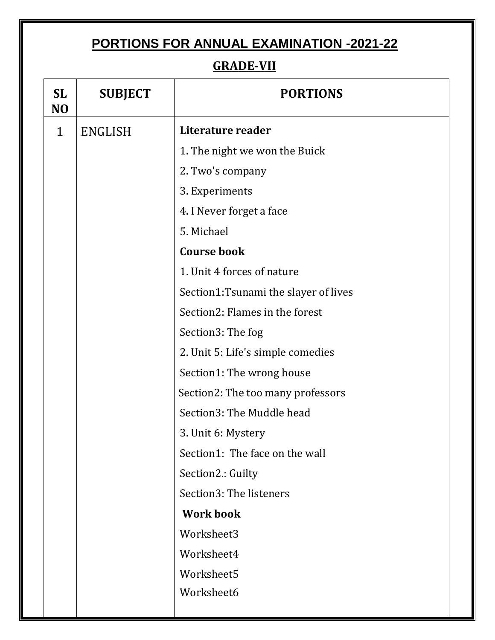## **PORTIONS FOR ANNUAL EXAMINATION -2021-22**

 $\overline{\phantom{a}}$ 

#### **GRADE-VII**

| <b>SL</b><br>N <sub>O</sub> | <b>SUBJECT</b> | <b>PORTIONS</b>                      |  |
|-----------------------------|----------------|--------------------------------------|--|
| $\mathbf{1}$                | <b>ENGLISH</b> | Literature reader                    |  |
|                             |                | 1. The night we won the Buick        |  |
|                             |                | 2. Two's company                     |  |
|                             |                | 3. Experiments                       |  |
|                             |                | 4. I Never forget a face             |  |
|                             |                | 5. Michael                           |  |
|                             |                | <b>Course book</b>                   |  |
|                             |                | 1. Unit 4 forces of nature           |  |
|                             |                | Section1:Tsunami the slayer of lives |  |
|                             |                | Section2: Flames in the forest       |  |
|                             |                | Section3: The fog                    |  |
|                             |                | 2. Unit 5: Life's simple comedies    |  |
|                             |                | Section1: The wrong house            |  |
|                             |                | Section2: The too many professors    |  |
|                             |                | Section3: The Muddle head            |  |
|                             |                | 3. Unit 6: Mystery                   |  |
|                             |                | Section1: The face on the wall       |  |
|                             |                | Section2.: Guilty                    |  |
|                             |                | Section3: The listeners              |  |
|                             |                | <b>Work book</b>                     |  |
|                             |                | Worksheet3                           |  |
|                             |                | Worksheet4                           |  |
|                             |                | Worksheet5                           |  |
|                             |                | Worksheet6                           |  |
|                             |                |                                      |  |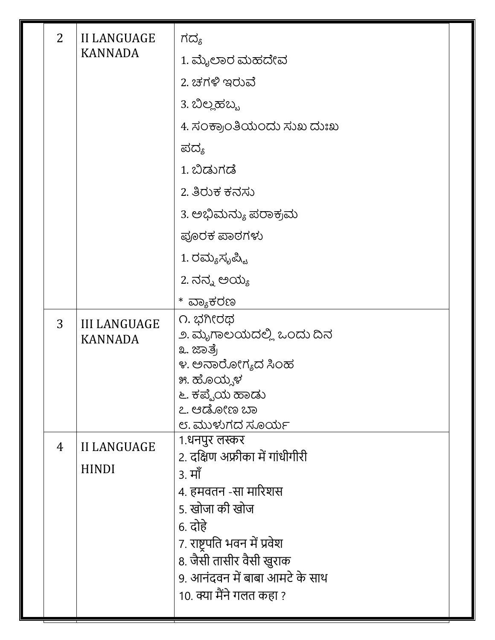| $\overline{2}$<br><b>II LANGUAGE</b> |                                       | ಗದ್ಯ                                                                                                                                                                                                                                    |  |
|--------------------------------------|---------------------------------------|-----------------------------------------------------------------------------------------------------------------------------------------------------------------------------------------------------------------------------------------|--|
|                                      | <b>KANNADA</b>                        | 1. ಮೈಲಾರ ಮಹದೇವ                                                                                                                                                                                                                          |  |
|                                      |                                       | 2. ಚಗಳಿ ಇರುವೆ                                                                                                                                                                                                                           |  |
|                                      |                                       | 3. ಬಿಲ್ಲಹಬ್ಬ                                                                                                                                                                                                                            |  |
|                                      |                                       | 4. ಸಂಕ್ರಾಂತಿಯಂದು ಸುಖ ದುಃಖ                                                                                                                                                                                                               |  |
|                                      |                                       | ಪದ್ಯ                                                                                                                                                                                                                                    |  |
|                                      |                                       | 1. ಬಿಡುಗಡೆ                                                                                                                                                                                                                              |  |
|                                      |                                       | 2. ತಿರುಕ ಕನಸು                                                                                                                                                                                                                           |  |
|                                      |                                       | 3. ಅಭಿಮನ್ಯು ಪರಾಕ್ರಮ                                                                                                                                                                                                                     |  |
|                                      |                                       | ಪೂರಕ ಪಾಠಗಳು                                                                                                                                                                                                                             |  |
|                                      |                                       | 1. ರಮ್ಯಸೃಪ್ಟಿ                                                                                                                                                                                                                           |  |
|                                      |                                       | 2. ನನ್ನ ಅಯ್ಯ                                                                                                                                                                                                                            |  |
|                                      |                                       | ವ್ಯಾಕರಣ<br>$\ast$                                                                                                                                                                                                                       |  |
| 3                                    | <b>III LANGUAGE</b><br><b>KANNADA</b> | ೧. ಭಗೀರಥ<br>೨. ಮೃಗಾಲಯದಲ್ಲಿ ಒಂದು ದಿನ<br>೩. ಜಾತ್ರೆ<br>೪. ಅನಾರೋಗ್ಯದ ಸಿಂಹ<br>೫. ಹೊಯ್ಸಳ<br>೬. ಕಪ್ಪೆಯ ಹಾಡು<br>೭. ಆಡೋಣ ಬಾ<br>೮. ಮುಳುಗದ ಸೂರ್ಯ                                                                                                   |  |
| 4                                    | <b>II LANGUAGE</b><br><b>HINDI</b>    | 1.धनपुर लस्कर<br>2. दक्षिण अफ्रीका में गांधीगीरी<br>3. मॉ<br>4. हमवतन -सा मारिशस<br>5. खोजा की खोज<br>6. दोहे<br>7. राष्ट्रपति भवन में प्रवेश<br>8. जैसी तासीर वैसी खुराक<br>9. आनंदवन में बाबा आमटे के साथ<br>10. क्या मैंने गलत कहा ? |  |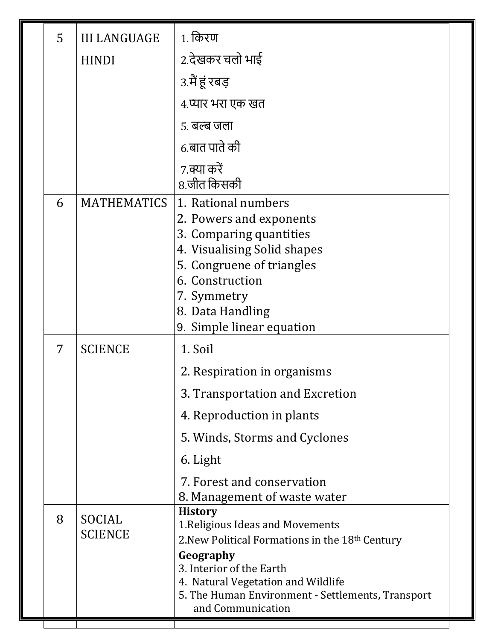| 5 | <b>III LANGUAGE</b> | 1. किरण                                                                                 |  |
|---|---------------------|-----------------------------------------------------------------------------------------|--|
|   | <b>HINDI</b>        | 2.देखकर चलो भाई                                                                         |  |
|   |                     | 3.मैं हूं रबड़                                                                          |  |
|   |                     | 4.प्यार भरा एक खत                                                                       |  |
|   |                     | 5. बल्ब जला                                                                             |  |
|   |                     | 6.बात पाते की                                                                           |  |
|   |                     | 7.क्या करें<br>8.जीत किसकी                                                              |  |
| 6 | <b>MATHEMATICS</b>  | 1. Rational numbers                                                                     |  |
|   |                     | 2. Powers and exponents                                                                 |  |
|   |                     | 3. Comparing quantities                                                                 |  |
|   |                     | 4. Visualising Solid shapes<br>5. Congruene of triangles                                |  |
|   |                     | 6. Construction                                                                         |  |
|   |                     | 7. Symmetry                                                                             |  |
|   |                     | 8. Data Handling                                                                        |  |
|   |                     | 9. Simple linear equation                                                               |  |
| 7 | <b>SCIENCE</b>      | 1. Soil                                                                                 |  |
|   |                     | 2. Respiration in organisms                                                             |  |
|   |                     | 3. Transportation and Excretion                                                         |  |
|   |                     | 4. Reproduction in plants                                                               |  |
|   |                     | 5. Winds, Storms and Cyclones                                                           |  |
|   |                     | 6. Light                                                                                |  |
|   |                     | 7. Forest and conservation                                                              |  |
|   |                     | 8. Management of waste water                                                            |  |
| 8 | SOCIAL              | <b>History</b><br>1. Religious Ideas and Movements                                      |  |
|   | <b>SCIENCE</b>      | 2. New Political Formations in the 18 <sup>th</sup> Century                             |  |
|   |                     | Geography                                                                               |  |
|   |                     | 3. Interior of the Earth                                                                |  |
|   |                     | 4. Natural Vegetation and Wildlife<br>5. The Human Environment - Settlements, Transport |  |
|   |                     | and Communication                                                                       |  |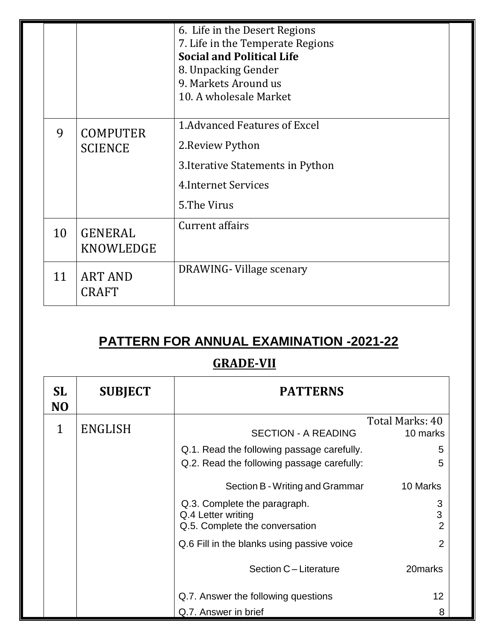|    |                                   | 6. Life in the Desert Regions<br>7. Life in the Temperate Regions<br><b>Social and Political Life</b><br>8. Unpacking Gender<br>9. Markets Around us<br>10. A wholesale Market |
|----|-----------------------------------|--------------------------------------------------------------------------------------------------------------------------------------------------------------------------------|
| 9  | <b>COMPUTER</b><br><b>SCIENCE</b> | 1. Advanced Features of Excel<br>2. Review Python<br>3. Iterative Statements in Python<br><b>4.Internet Services</b><br>5. The Virus                                           |
| 10 | <b>GENERAL</b><br>KNOWLEDGE       | Current affairs                                                                                                                                                                |
| 11 | <b>ART AND</b><br><b>CRAFT</b>    | DRAWING-Village scenary                                                                                                                                                        |

## **PATTERN FOR ANNUAL EXAMINATION -2021-22**

 $\overline{\phantom{a}}$ 

### **GRADE-VII**

| <b>SL</b><br>N <sub>O</sub> | <b>SUBJECT</b> | <b>PATTERNS</b>                            |                 |
|-----------------------------|----------------|--------------------------------------------|-----------------|
|                             |                |                                            | Total Marks: 40 |
| 1                           | ENGLISH        | <b>SECTION - A READING</b>                 | 10 marks        |
|                             |                | Q.1. Read the following passage carefully. | 5               |
|                             |                | Q.2. Read the following passage carefully: | 5               |
|                             |                | Section B - Writing and Grammar            | 10 Marks        |
|                             |                | Q.3. Complete the paragraph.               | 3               |
|                             |                | Q.4 Letter writing                         | 3               |
|                             |                | Q.5. Complete the conversation             | 2               |
|                             |                | Q.6 Fill in the blanks using passive voice | 2               |
|                             |                | Section C - Literature                     | 20marks         |
|                             |                | Q.7. Answer the following questions        | 12              |
|                             |                | Q.7. Answer in brief                       |                 |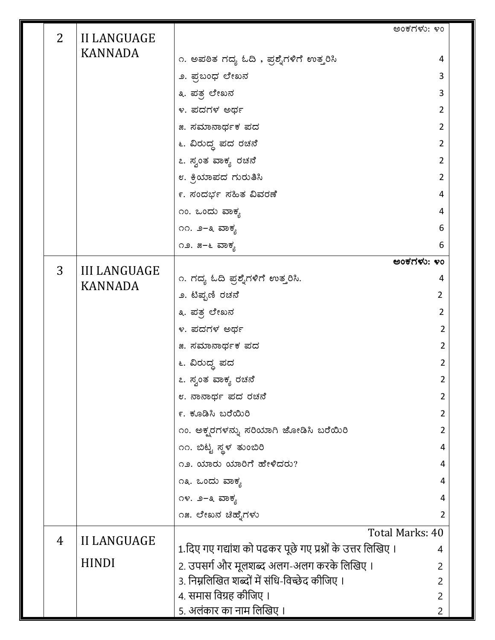| $\overline{2}$ | <b>II LANGUAGE</b>                    |                                                            | ಅಂಕಗಳು: ೪೦      |
|----------------|---------------------------------------|------------------------------------------------------------|-----------------|
|                | <b>KANNADA</b>                        |                                                            |                 |
|                |                                       | ೧. ಅಪಠಿತ ಗದ್ಯ ಓದಿ , ಪ್ರಶ್ನೆಗಳಿಗೆ ಉತ್ತರಿಸಿ                  | 4               |
|                |                                       | ೨. ಪ್ರಬಂಧ ಲೇಖನ                                             | 3               |
|                |                                       | ೩. ಪತ್ರ ಲೇಖನ                                               | 3               |
|                |                                       | ೪. ಪದಗಳ ಅರ್ಥ                                               | 2               |
|                |                                       | ೫. ಸಮಾನಾರ್ಥಕ ಪದ                                            | 2               |
|                |                                       | ೬. ವಿರುದ್ಧ ಪದ ರಚನೆ                                         | $\overline{2}$  |
|                |                                       | ೭. ಸ್ವಂತ ವಾಕ್ಯ ರಚನೆ                                        | 2               |
|                |                                       | ೮. ಕ್ರಿಯಾಪದ ಗುರುತಿಸಿ                                       | 2               |
|                |                                       | ೯. ಸಂದರ್ಭ ಸಹಿತ ವಿವರಣೆ                                      | 4               |
|                |                                       | ೧೦. ಒಂದು ವಾಕ್ಯ                                             | 4               |
|                |                                       | ೧೧. ೨–೩ ವಾಕ್ಯ                                              | 6               |
|                |                                       | ೧೨. ೫–೬ ವಾಕ್ಯ                                              | 6               |
| 3              |                                       |                                                            | ಅಂಕಗಳು: ೪೦      |
|                | <b>III LANGUAGE</b><br><b>KANNADA</b> | ೧. ಗದ್ಯ ಓದಿ ಪ್ರಶ್ನೆಗಳಿಗೆ ಉತ್ತರಿಸಿ.                         | 4               |
|                |                                       | ೨. ಟಿಪ್ಬಣಿ ರಚನೆ                                            | $\overline{2}$  |
|                |                                       | ೩. ಪತ್ರ ಲೇಖನ                                               | $\overline{2}$  |
|                |                                       | ೪. ಪದಗಳ ಅರ್ಥ                                               | 2               |
|                |                                       | ೫. ಸಮಾನಾರ್ಥಕ ಪದ                                            | 2               |
|                |                                       | ೬. ವಿರುದ್ಧ ಪದ                                              | $\overline{2}$  |
|                |                                       | ೭. ಸ್ವಂತ ವಾಕ್ಯ ರಚನೆ                                        | 2               |
|                |                                       | ೮. ನಾನಾರ್ಥ ಪದ ರಚನೆ                                         | 2               |
|                |                                       | ೯. ಕೂಡಿಸಿ ಬರೆಯಿರಿ                                          |                 |
|                |                                       | ೧೦. ಅಕ್ಖರಗಳನ್ನು ಸರಿಯಾಗಿ ಜೋಡಿಸಿ ಬರೆಯಿರಿ                     | 2               |
|                |                                       | ೧೧. ಬಿಟ್ಟ ಸ್ಥಳ ತುಂಬಿರಿ                                     | 4               |
|                |                                       | ೧೨. ಯಾರು ಯಾರಿಗೆ ಹೇಳಿದರು?                                   | 4               |
|                |                                       | ೧೩. ಒಂದು ವಾಕ್ಯ                                             | 4               |
|                |                                       | ೧೪. ೨–೩ ವಾಕ್ಯ                                              | 4               |
|                |                                       | ೧೫. ಲೇಖನ ಚಿಹ್ಳೆಗಳು                                         | 2               |
|                |                                       |                                                            | Total Marks: 40 |
| 4              | <b>II LANGUAGE</b>                    | 1.दिए गए गद्यांश को पढकर पूछे गए प्रश्नों के उत्तर लिखिए । |                 |
|                | <b>HINDI</b>                          | 2. उपसर्ग और मूलशब्द अलग-अलग करके लिखिए ।                  | 2               |
|                |                                       | 3. निम्नलिखित शब्दों में संधि-विच्छेद कीजिए ।              | 2               |
|                |                                       | 4. समास विग्रह कीजिए ।                                     | 2               |
|                |                                       | 5. अलंकार का नाम लिखिए ।                                   | 2               |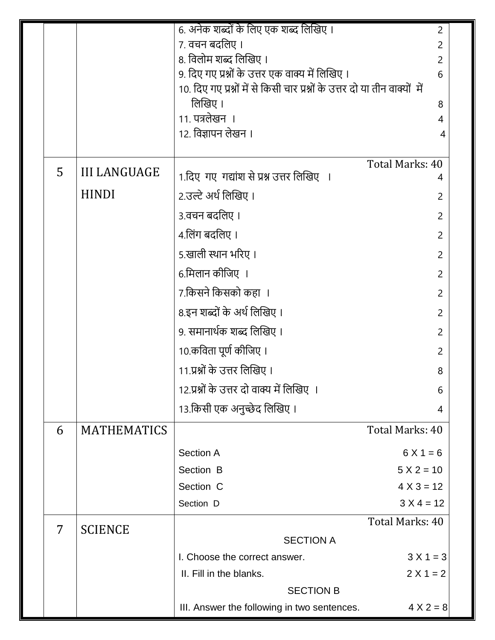|   |                     | 6. अनेक शब्दों के लिए एक शब्द लिखिए ।                                                   | 2               |
|---|---------------------|-----------------------------------------------------------------------------------------|-----------------|
|   |                     | 7. वचन बदलिए ।                                                                          | $\overline{2}$  |
|   |                     | 8. विलोम शब्द लिखिए ।                                                                   | 2               |
|   |                     | 9. दिए गए प्रश्नों के उत्तर एक वाक्य में लिखिए ।                                        | 6               |
|   |                     | 10. दिए गए प्रश्नों में से किसी चार प्रश्नों के उत्तर दो या तीन वाक्यों  में<br>लिखिए । |                 |
|   |                     | 11. पत्रलेखन ।                                                                          | 8<br>4          |
|   |                     | 12. विज्ञापन लेखन ।                                                                     | 4               |
|   |                     |                                                                                         |                 |
| 5 | <b>III LANGUAGE</b> |                                                                                         | Total Marks: 40 |
|   | <b>HINDI</b>        | 1.दिए गए गद्यांश से प्रश्न उत्तर लिखिए ।                                                | 4               |
|   |                     | 2.उल्टे अर्थ लिखिए ।                                                                    | $\overline{2}$  |
|   |                     | 3.वचन बदलिए ।                                                                           | $\overline{2}$  |
|   |                     | 4.लिंग बदलिए ।                                                                          | 2               |
|   |                     | 5.खाली स्थान भरिए ।                                                                     | $\overline{2}$  |
|   |                     | 6.मिलान कीजिए ।                                                                         | 2               |
|   |                     | 7.किसने किसको कहा ।                                                                     | $\overline{2}$  |
|   |                     | 8.इन शब्दों के अर्थ लिखिए ।                                                             | 2               |
|   |                     | 9. समानार्थक शब्द लिखिए ।                                                               | $\overline{2}$  |
|   |                     | 10.कविता पूर्ण कीजिए ।                                                                  | 2               |
|   |                     | 11.प्रश्नों के उत्तर लिखिए ।                                                            | 8               |
|   |                     | 12.प्रश्नों के उत्तर दो वाक्य में लिखिए ।                                               | 6               |
|   |                     | 13.किसी एक अनुच्छेद लिखिए ।                                                             | 4               |
| 6 | <b>MATHEMATICS</b>  |                                                                                         | Total Marks: 40 |
|   |                     | <b>Section A</b>                                                                        | $6X1 = 6$       |
|   |                     | Section B                                                                               | $5 X 2 = 10$    |
|   |                     | Section C                                                                               | $4 X 3 = 12$    |
|   |                     | Section D                                                                               | $3 X 4 = 12$    |
| 7 | <b>SCIENCE</b>      |                                                                                         | Total Marks: 40 |
|   |                     | <b>SECTION A</b>                                                                        |                 |
|   |                     | I. Choose the correct answer.                                                           | $3 X 1 = 3$     |
|   |                     | II. Fill in the blanks.                                                                 | $2 X 1 = 2$     |
|   |                     | <b>SECTION B</b>                                                                        |                 |
|   |                     | III. Answer the following in two sentences.                                             | $4 X 2 = 8$     |